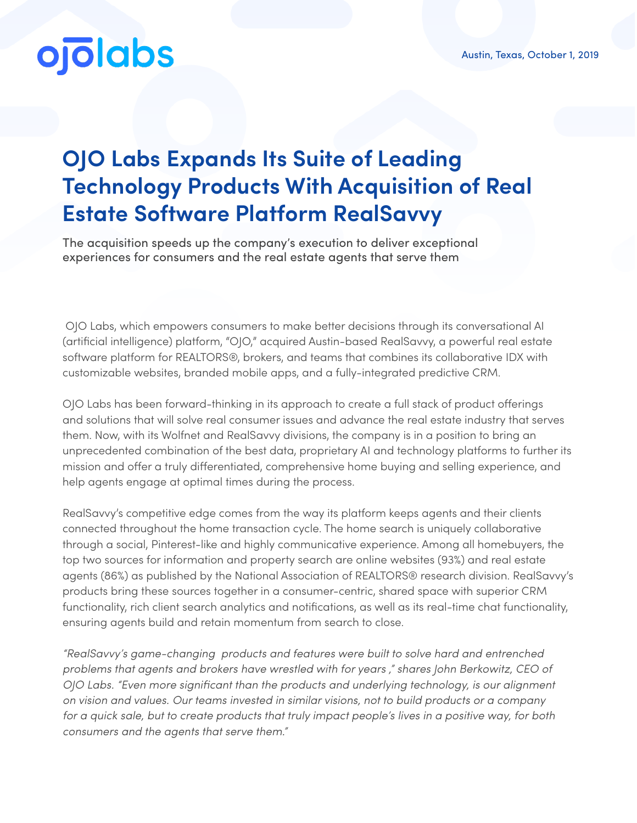## **ojolabs**

## **OJO Labs Expands Its Suite of Leading Technology Products With Acquisition of Real Estate Software Platform RealSavvy**

The acquisition speeds up the company's execution to deliver exceptional experiences for consumers and the real estate agents that serve them

 OJO Labs, which empowers consumers to make better decisions through its conversational AI (artificial intelligence) platform, "OJO," acquired Austin-based RealSavvy, a powerful real estate software platform for REALTORS®, brokers, and teams that combines its collaborative IDX with customizable websites, branded mobile apps, and a fully-integrated predictive CRM.

OJO Labs has been forward-thinking in its approach to create a full stack of product offerings and solutions that will solve real consumer issues and advance the real estate industry that serves them. Now, with its Wolfnet and RealSavvy divisions, the company is in a position to bring an unprecedented combination of the best data, proprietary AI and technology platforms to further its mission and offer a truly differentiated, comprehensive home buying and selling experience, and help agents engage at optimal times during the process.

RealSavvy's competitive edge comes from the way its platform keeps agents and their clients connected throughout the home transaction cycle. The home search is uniquely collaborative through a social, Pinterest-like and highly communicative experience. Among all homebuyers, the top two sources for information and property search are online websites (93%) and real estate agents (86%) as published by the National Association of REALTORS® research division. RealSavvy's products bring these sources together in a consumer-centric, shared space with superior CRM functionality, rich client search analytics and notifications, as well as its real-time chat functionality, ensuring agents build and retain momentum from search to close.

*"RealSavvy's game-changing products and features were built to solve hard and entrenched problems that agents and brokers have wrestled with for years ," shares John Berkowitz, CEO of OJO Labs. "Even more significant than the products and underlying technology, is our alignment on vision and values. Our teams invested in similar visions, not to build products or a company for a quick sale, but to create products that truly impact people's lives in a positive way, for both consumers and the agents that serve them."*